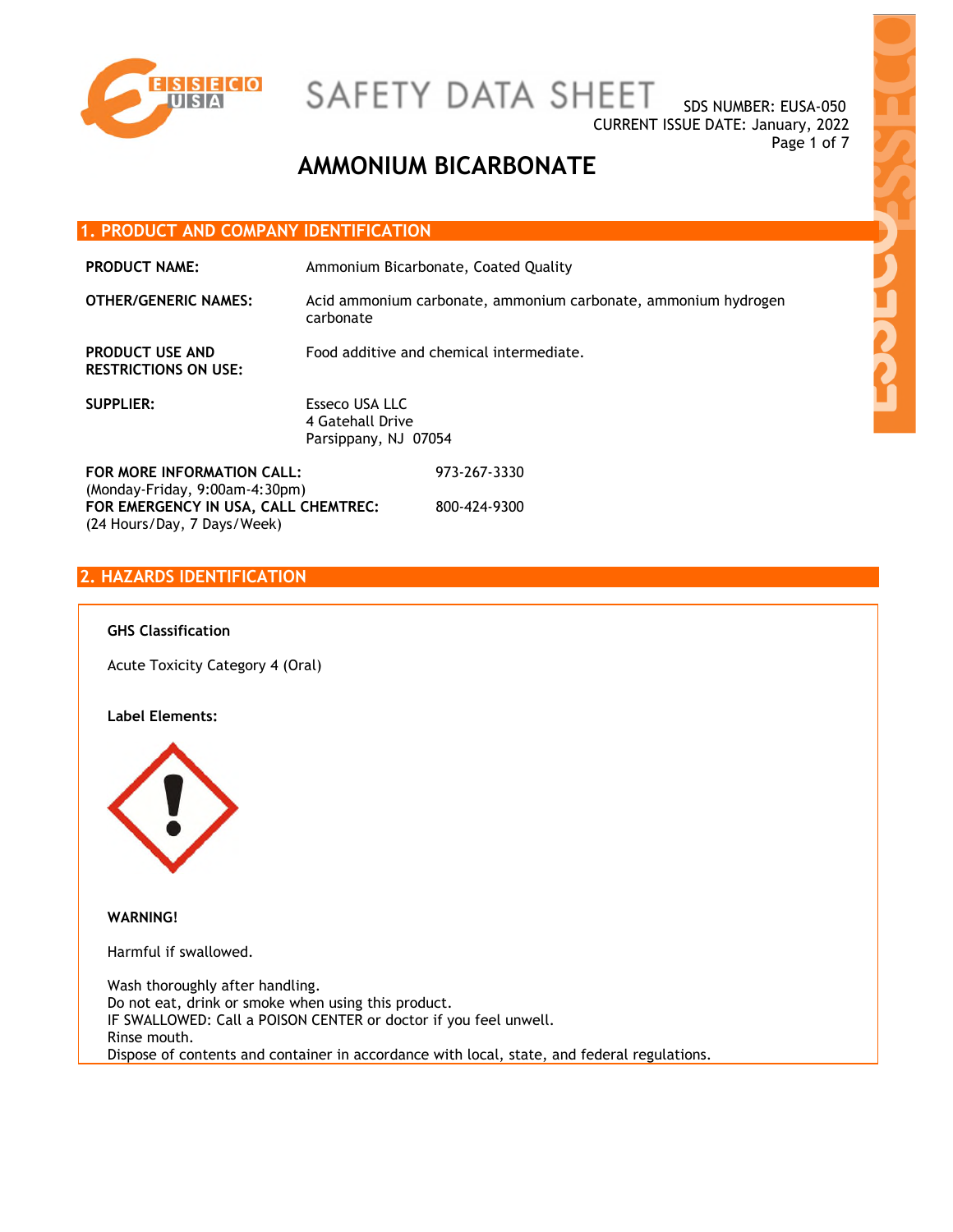

SDS NUMBER: EUSA-050 CURRENT ISSUE DATE: January, 2022 Page 1 of 7

## **AMMONIUM BICARBONATE**

#### **1. PRODUCT AND COMPANY IDENTIFICATION**

| <b>PRODUCT NAME:</b>                                           |                                                            | Ammonium Bicarbonate, Coated Quality                           |
|----------------------------------------------------------------|------------------------------------------------------------|----------------------------------------------------------------|
| <b>OTHER/GENERIC NAMES:</b>                                    | carbonate                                                  | Acid ammonium carbonate, ammonium carbonate, ammonium hydrogen |
| <b>PRODUCT USE AND</b><br><b>RESTRICTIONS ON USE:</b>          | Food additive and chemical intermediate.                   |                                                                |
| <b>SUPPLIER:</b>                                               | Esseco USA LLC<br>4 Gateball Drive<br>Parsippany, NJ 07054 |                                                                |
| FOR MORE INFORMATION CALL:<br>$(Monday-Friday, 9:00am-4:30pm)$ |                                                            | 973-267-3330                                                   |
| FOR EMERGENCY IN USA, CALL CHEMTREC:                           |                                                            | 800-424-9300                                                   |

#### **2. HAZARDS IDENTIFICATION**

(24 Hours/Day, 7 Days/Week)

#### **GHS Classification**

Acute Toxicity Category 4 (Oral)

#### **Label Elements:**



**WARNING!** 

Harmful if swallowed.

Wash thoroughly after handling. Do not eat, drink or smoke when using this product. IF SWALLOWED: Call a POISON CENTER or doctor if you feel unwell. Rinse mouth. Dispose of contents and container in accordance with local, state, and federal regulations.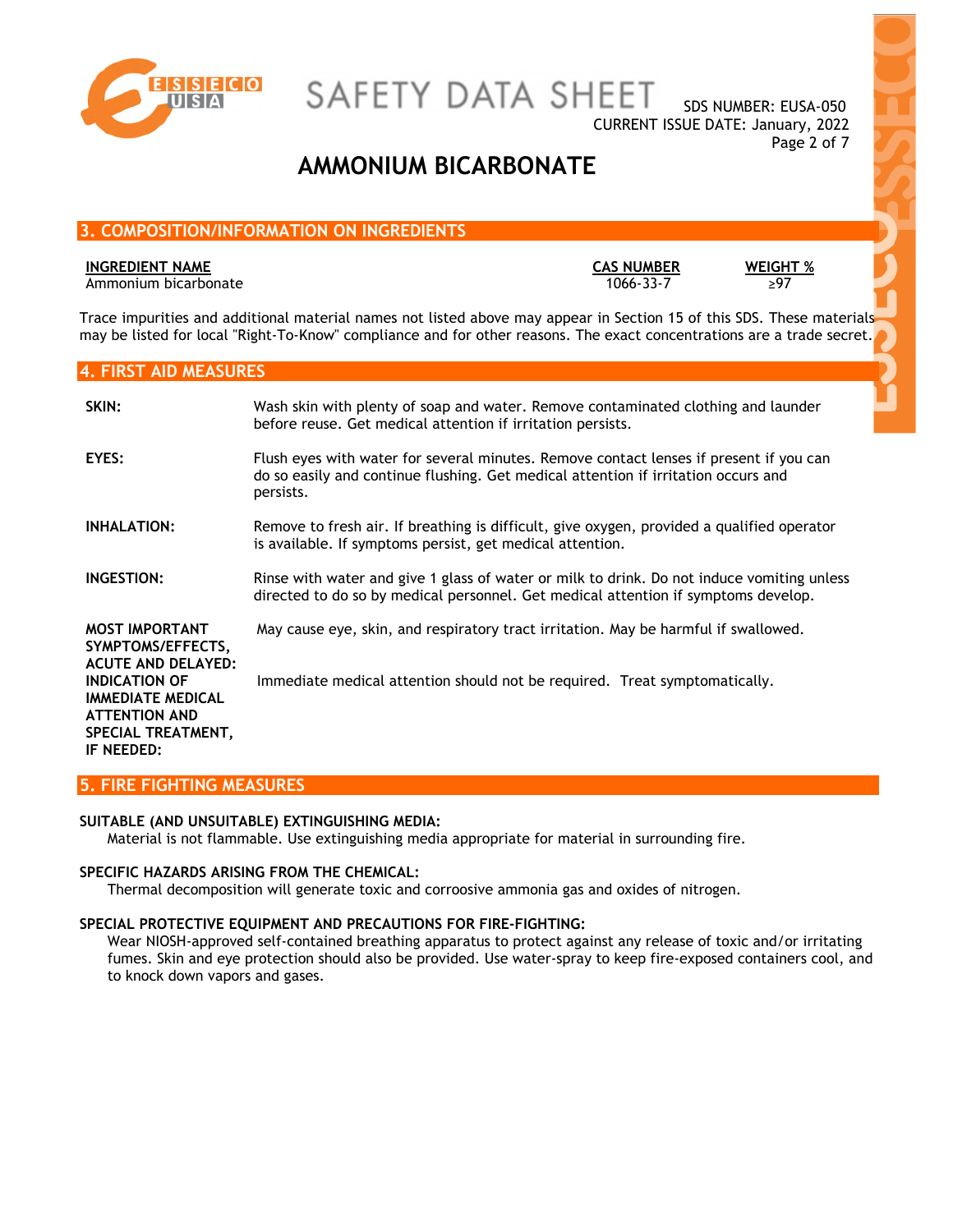

SDS NUMBER: EUSA-050 CURRENT ISSUE DATE: January, 2022 Page 2 of 7

## **AMMONIUM BICARBONATE**

### **3. COMPOSITION/INFORMATION ON INGREDIENTS**

#### **INGREDIENT NAME CAS NUMBER WEIGHT %**

Ammonium bicarbonate

Trace impurities and additional material names not listed above may appear in Section 15 of this SDS. These materials may be listed for local "Right-To-Know" compliance and for other reasons. The exact concentrations are a trade secret.

#### **4. FIRST AID MEASURES**

| SKIN:                                                                                                                                                                                   | Wash skin with plenty of soap and water. Remove contaminated clothing and launder<br>before reuse. Get medical attention if irritation persists.                                          |
|-----------------------------------------------------------------------------------------------------------------------------------------------------------------------------------------|-------------------------------------------------------------------------------------------------------------------------------------------------------------------------------------------|
| EYES:                                                                                                                                                                                   | Flush eyes with water for several minutes. Remove contact lenses if present if you can<br>do so easily and continue flushing. Get medical attention if irritation occurs and<br>persists. |
| <b>INHALATION:</b>                                                                                                                                                                      | Remove to fresh air. If breathing is difficult, give oxygen, provided a qualified operator<br>is available. If symptoms persist, get medical attention.                                   |
| INGESTION:                                                                                                                                                                              | Rinse with water and give 1 glass of water or milk to drink. Do not induce vomiting unless<br>directed to do so by medical personnel. Get medical attention if symptoms develop.          |
| <b>MOST IMPORTANT</b><br>SYMPTOMS/EFFECTS,<br><b>ACUTE AND DELAYED:</b><br><b>INDICATION OF</b><br><b>IMMEDIATE MEDICAL</b><br><b>ATTENTION AND</b><br>SPECIAL TREATMENT,<br>IF NEEDED: | May cause eye, skin, and respiratory tract irritation. May be harmful if swallowed.<br>Immediate medical attention should not be required. Treat symptomatically.                         |

### **5. FIRE FIGHTING MEASURES**

#### **SUITABLE (AND UNSUITABLE) EXTINGUISHING MEDIA:**

Material is not flammable. Use extinguishing media appropriate for material in surrounding fire.

#### **SPECIFIC HAZARDS ARISING FROM THE CHEMICAL:**

Thermal decomposition will generate toxic and corroosive ammonia gas and oxides of nitrogen.

#### **SPECIAL PROTECTIVE EQUIPMENT AND PRECAUTIONS FOR FIRE-FIGHTING:**

Wear NIOSH-approved self-contained breathing apparatus to protect against any release of toxic and/or irritating fumes. Skin and eye protection should also be provided. Use water-spray to keep fire-exposed containers cool, and to knock down vapors and gases.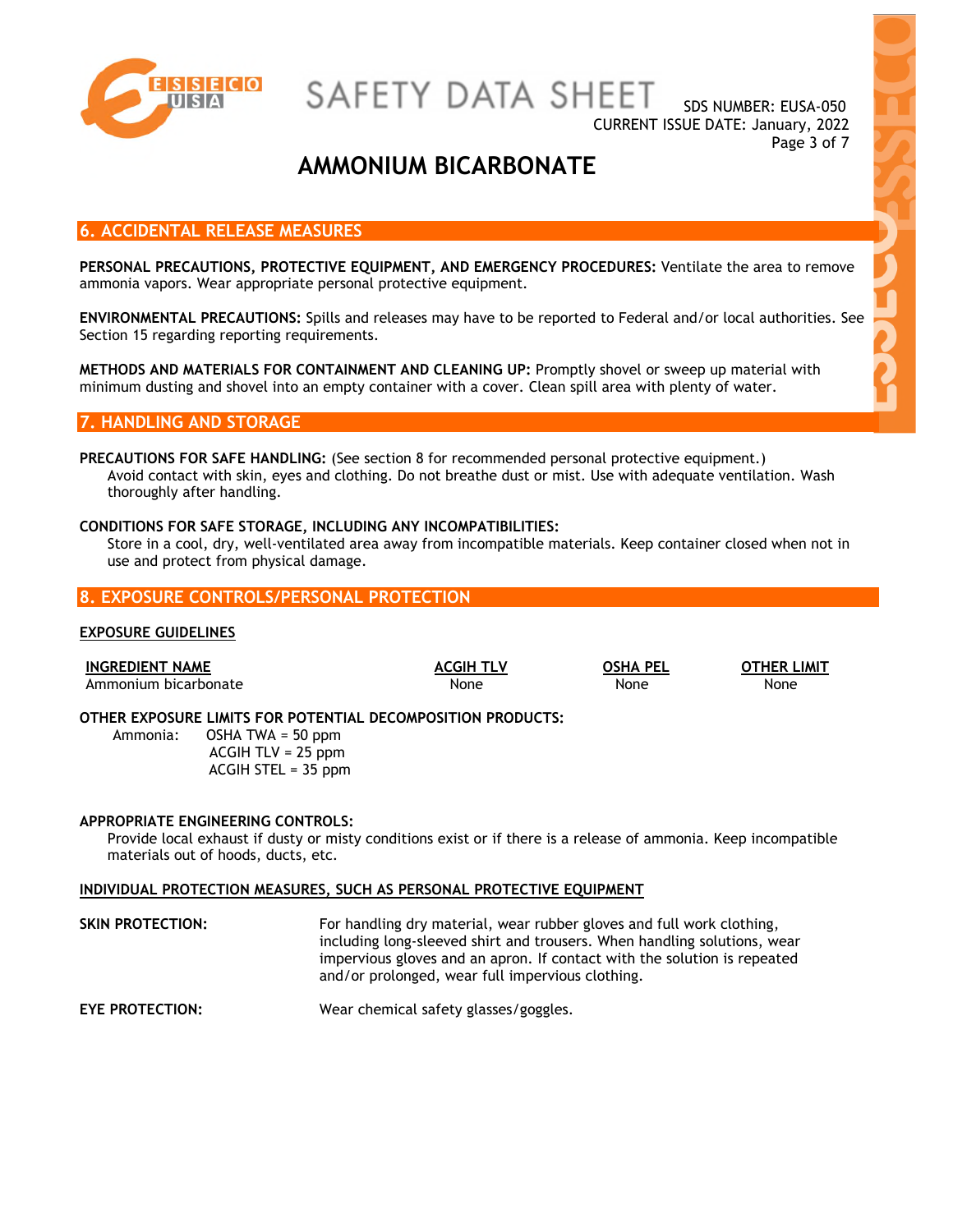

SDS NUMBER: EUSA-050 CURRENT ISSUE DATE: January, 2022 Page 3 of 7

## **AMMONIUM BICARBONATE**

#### **6. ACCIDENTAL RELEASE MEASURES**

**PERSONAL PRECAUTIONS, PROTECTIVE EQUIPMENT, AND EMERGENCY PROCEDURES:** Ventilate the area to remove ammonia vapors. Wear appropriate personal protective equipment.

**ENVIRONMENTAL PRECAUTIONS:** Spills and releases may have to be reported to Federal and/or local authorities. See Section 15 regarding reporting requirements.

**METHODS AND MATERIALS FOR CONTAINMENT AND CLEANING UP:** Promptly shovel or sweep up material with minimum dusting and shovel into an empty container with a cover. Clean spill area with plenty of water.

#### **7. HANDLING AND STORAGE**

**PRECAUTIONS FOR SAFE HANDLING:** (See section 8 for recommended personal protective equipment.) Avoid contact with skin, eyes and clothing. Do not breathe dust or mist. Use with adequate ventilation. Wash thoroughly after handling.

#### **CONDITIONS FOR SAFE STORAGE, INCLUDING ANY INCOMPATIBILITIES:**

Store in a cool, dry, well-ventilated area away from incompatible materials. Keep container closed when not in use and protect from physical damage.

#### **8. EXPOSURE CONTROLS/PERSONAL PROTECTION**

#### **EXPOSURE GUIDELINES**

| <b>INGREDIENT NAME</b> |                                                                                                                                              | <b>ACGIH TLV</b> | <b>OSHA PEL</b> | <b>OTHER LIMIT</b> |
|------------------------|----------------------------------------------------------------------------------------------------------------------------------------------|------------------|-----------------|--------------------|
| Ammonium bicarbonate   |                                                                                                                                              | None             | None            | None               |
|                        | OTHER EXPOSURE LIMITS FOR POTENTIAL DECOMPOSITION PRODUCTS:<br>Ammonia: $OSHA$ TWA = 50 ppm<br>$ACGIH TLV = 25 ppm$<br>$ACGIH$ STEL = 35 ppm |                  |                 |                    |

#### **APPROPRIATE ENGINEERING CONTROLS:**

Provide local exhaust if dusty or misty conditions exist or if there is a release of ammonia. Keep incompatible materials out of hoods, ducts, etc.

### **INDIVIDUAL PROTECTION MEASURES, SUCH AS PERSONAL PROTECTIVE EQUIPMENT**

| SKIN PROTECTION: | For handling dry material, wear rubber gloves and full work clothing,    |
|------------------|--------------------------------------------------------------------------|
|                  | including long-sleeved shirt and trousers. When handling solutions, wear |
|                  | impervious gloves and an apron. If contact with the solution is repeated |
|                  | and/or prolonged, wear full impervious clothing.                         |
|                  |                                                                          |

**EYE PROTECTION:** Wear chemical safety glasses/goggles.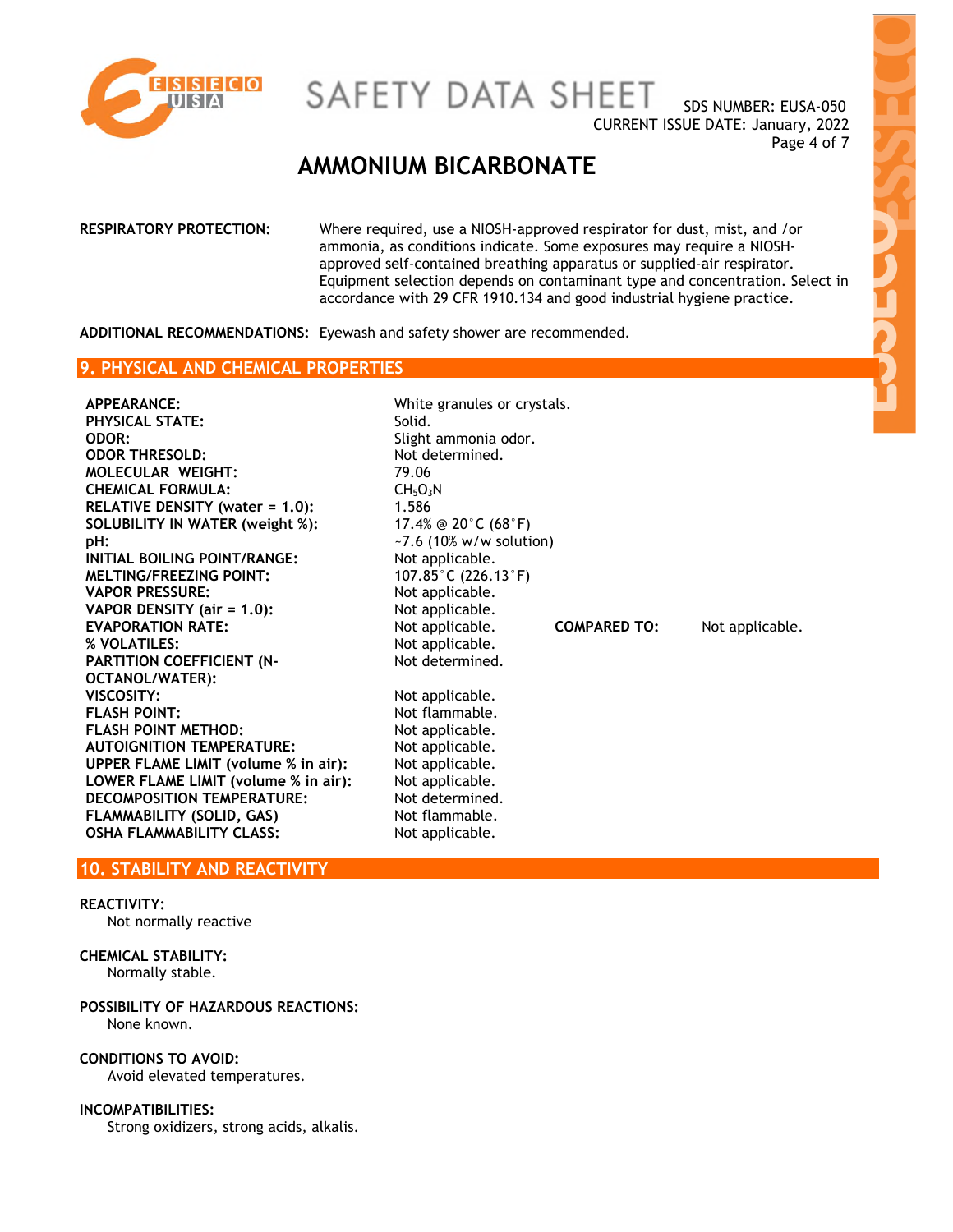

SDS NUMBER: EUSA-050 CURRENT ISSUE DATE: January, 2022 Page 4 of 7

### **AMMONIUM BICARBONATE**

**RESPIRATORY PROTECTION:** Where required, use a NIOSH-approved respirator for dust, mist, and /or ammonia, as conditions indicate. Some exposures may require a NIOSHapproved self-contained breathing apparatus or supplied-air respirator. Equipment selection depends on contaminant type and concentration. Select in accordance with 29 CFR 1910.134 and good industrial hygiene practice.

Not determined.

**ADDITIONAL RECOMMENDATIONS:** Eyewash and safety shower are recommended.

#### **9. PHYSICAL AND CHEMICAL PROPERTIES**

**APPEARANCE:** White granules or crystals. **PHYSICAL STATE: ODOR:** Slight ammonia odor. **ODOR THRESOLD:** Not determined. MOLECULAR WEIGHT: 79.06 **CHEMICAL FORMULA:** CH<sub>5</sub>O<sub>3</sub>N<br> **RELATIVE DENSITY (water = 1.0):** 1.586 **RELATIVE DENSITY (water = 1.0): SOLUBILITY IN WATER (weight %):** 17.4% @ 20°C (68°F) **pH:**  $\sim$ 7.6 (10% w/w solution) **INITIAL BOILING POINT/RANGE:** Not applicable. **MELTING/FREEZING POINT:** 107.85°C (226.13°F)<br> **VAPOR PRESSURE:** Not applicable. **VAPOR PRESSURE: VAPOR DENSITY (air = 1.0):** Not applicable. **EVAPORATION RATE:** Not applicable. **COMPARED TO:** Not applicable. **% VOLATILES:** Not applicable. **PARTITION COEFFICIENT (N-OCTANOL/WATER): VISCOSITY:** Not applicable. **FLASH POINT:** Not flammable. **FLASH POINT METHOD:** Not applicable. **AUTOIGNITION TEMPERATURE:** Not applicable. **UPPER FLAME LIMIT (volume % in air):** Not applicable. LOWER FLAME LIMIT (volume % in air): Not applicable. **DECOMPOSITION TEMPERATURE:** Not determined. **FLAMMABILITY (SOLID, GAS)** Not flammable. **OSHA FLAMMABILITY CLASS:** Not applicable.

#### **10. STABILITY AND REACTIVITY**

#### **REACTIVITY:**

Not normally reactive

#### **CHEMICAL STABILITY:**

Normally stable.

#### **POSSIBILITY OF HAZARDOUS REACTIONS:**  None known.

**CONDITIONS TO AVOID:** 

Avoid elevated temperatures.

#### **INCOMPATIBILITIES:**

Strong oxidizers, strong acids, alkalis.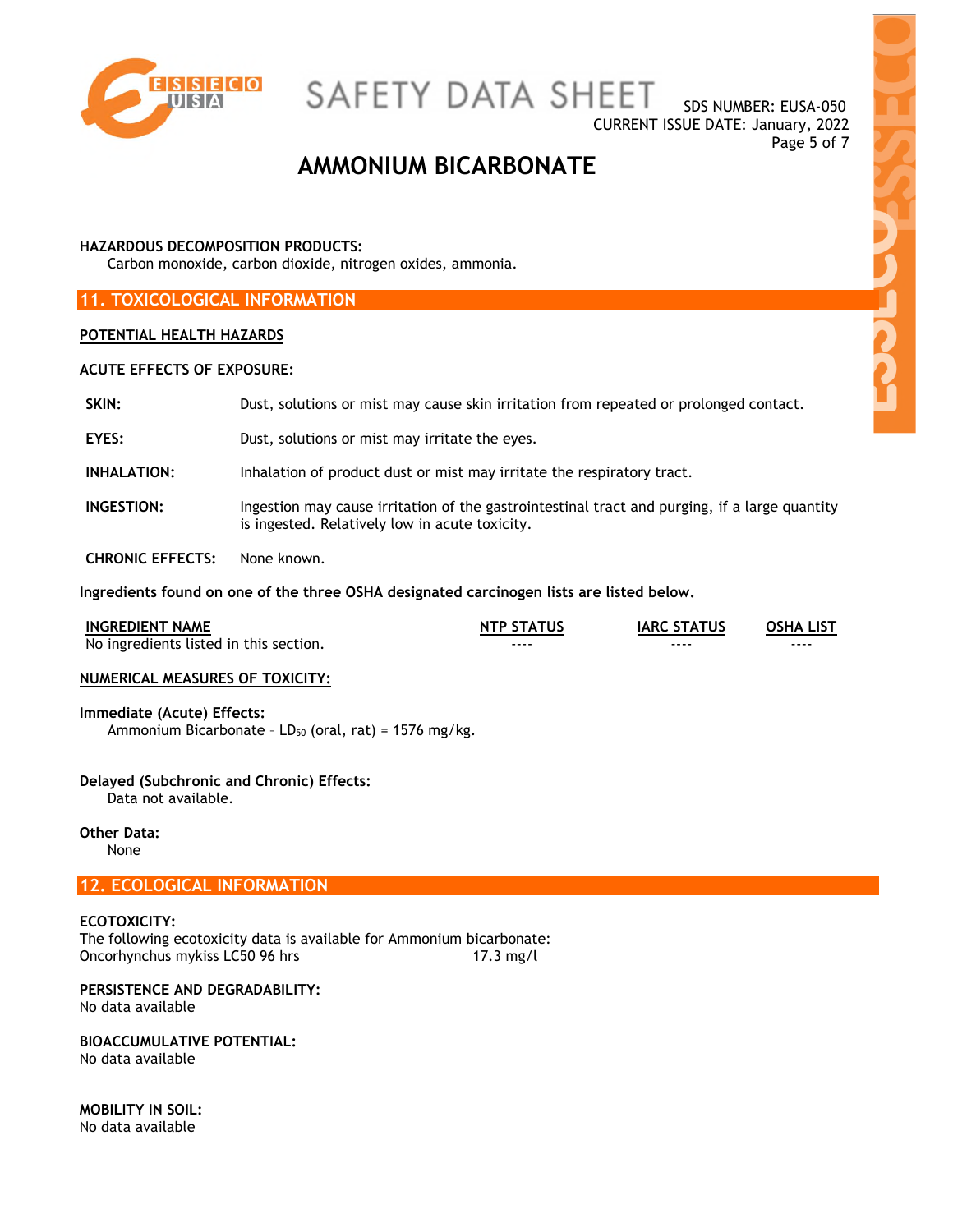

SDS NUMBER: EUSA-050 CURRENT ISSUE DATE: January, 2022 Page 5 of 7

## **AMMONIUM BICARBONATE**

#### **HAZARDOUS DECOMPOSITION PRODUCTS:**

Carbon monoxide, carbon dioxide, nitrogen oxides, ammonia.

#### **11. TOXICOLOGICAL INFORMATION**

#### **POTENTIAL HEALTH HAZARDS**

#### **ACUTE EFFECTS OF EXPOSURE:**

| SKIN:              | Dust, solutions or mist may cause skin irritation from repeated or prolonged contact.                                                           |
|--------------------|-------------------------------------------------------------------------------------------------------------------------------------------------|
| EYES:              | Dust, solutions or mist may irritate the eyes.                                                                                                  |
| <b>INHALATION:</b> | Inhalation of product dust or mist may irritate the respiratory tract.                                                                          |
| INGESTION:         | Ingestion may cause irritation of the gastrointestinal tract and purging, if a large quantity<br>is ingested. Relatively low in acute toxicity. |

**CHRONIC EFFECTS:** None known.

**Ingredients found on one of the three OSHA designated carcinogen lists are listed below.** 

| <b>INGREDIENT NAME</b>                 | <b>NTP STATUS</b> | <b>IARC STATUS</b> | <b>OSHA LIST</b> |
|----------------------------------------|-------------------|--------------------|------------------|
| No ingredients listed in this section. | ----              | ----               | ----             |

#### **NUMERICAL MEASURES OF TOXICITY:**

#### **Immediate (Acute) Effects:**

Ammonium Bicarbonate -  $LD_{50}$  (oral, rat) = 1576 mg/kg.

#### **Delayed (Subchronic and Chronic) Effects:**

Data not available.

### **Other Data:**

None

#### **12. ECOLOGICAL INFORMATION**

**ECOTOXICITY:**  The following ecotoxicity data is available for Ammonium bicarbonate: Oncorhynchus mykiss LC50 96 hrs 17.3 mg/l

### **PERSISTENCE AND DEGRADABILITY:**

No data available

#### **BIOACCUMULATIVE POTENTIAL:**

No data available

**MOBILITY IN SOIL:**  No data available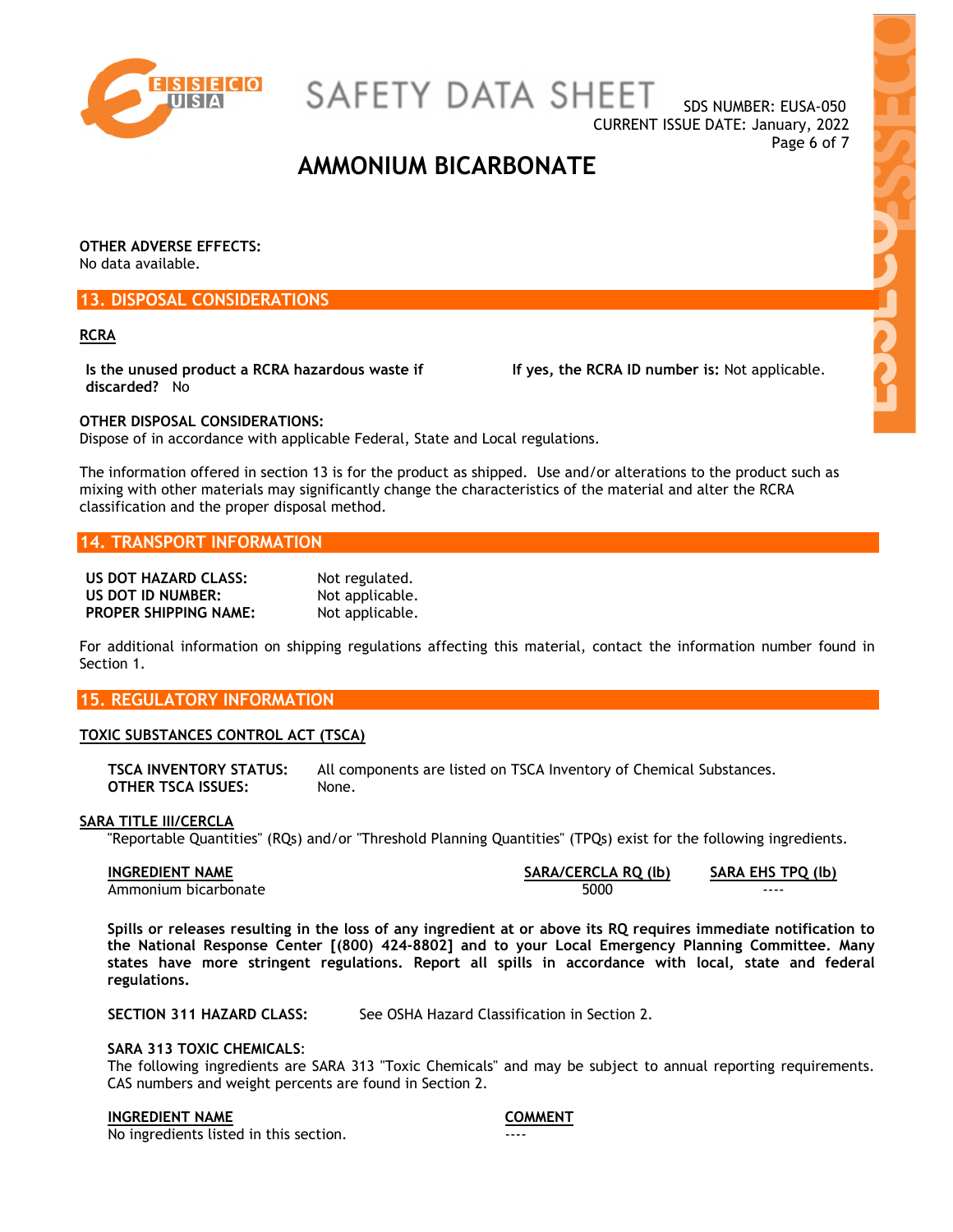

SAFETY DATA SHEET

SDS NUMBER: EUSA-050 CURRENT ISSUE DATE: January, 2022 Page 6 of 7

**Hold** 

### **AMMONIUM BICARBONATE**

**OTHER ADVERSE EFFECTS:**  No data available.

#### **13. DISPOSAL CONSIDERATIONS**

#### **RCRA**

**Is the unused product a RCRA hazardous waste if discarded?** No

**If yes, the RCRA ID number is:** Not applicable.

**OTHER DISPOSAL CONSIDERATIONS:**  Dispose of in accordance with applicable Federal, State and Local regulations.

The information offered in section 13 is for the product as shipped. Use and/or alterations to the product such as mixing with other materials may significantly change the characteristics of the material and alter the RCRA classification and the proper disposal method.

#### **14. TRANSPORT INFORMATION**

| US DOT HAZARD CLASS:         | Not regulated.  |
|------------------------------|-----------------|
| US DOT ID NUMBER:            | Not applicable. |
| <b>PROPER SHIPPING NAME:</b> | Not applicable. |

For additional information on shipping regulations affecting this material, contact the information number found in Section 1.

#### **15. REGULATORY INFORMATION**

#### **TOXIC SUBSTANCES CONTROL ACT (TSCA)**

**TSCA INVENTORY STATUS:** All components are listed on TSCA Inventory of Chemical Substances. **OTHER TSCA ISSUES:** None.

#### **SARA TITLE III/CERCLA**

"Reportable Quantities" (RQs) and/or "Threshold Planning Quantities" (TPQs) exist for the following ingredients.

**INGREDIENT NAME SARA/CERCLA RQ (lb) SARA EHS TPQ (lb)** Ammonium bicarbonate and the state of the state of the state of the state of the state of the state of the state of the state of the state of the state of the state of the state of the state of the state of the state of th

**Spills or releases resulting in the loss of any ingredient at or above its RQ requires immediate notification to the National Response Center [(800) 424-8802] and to your Local Emergency Planning Committee. Many states have more stringent regulations. Report all spills in accordance with local, state and federal regulations.** 

**SECTION 311 HAZARD CLASS:** See OSHA Hazard Classification in Section 2.

#### **SARA 313 TOXIC CHEMICALS**:

The following ingredients are SARA 313 "Toxic Chemicals" and may be subject to annual reporting requirements. CAS numbers and weight percents are found in Section 2.

#### **INGREDIENT NAME COMMENT**

No ingredients listed in this section.